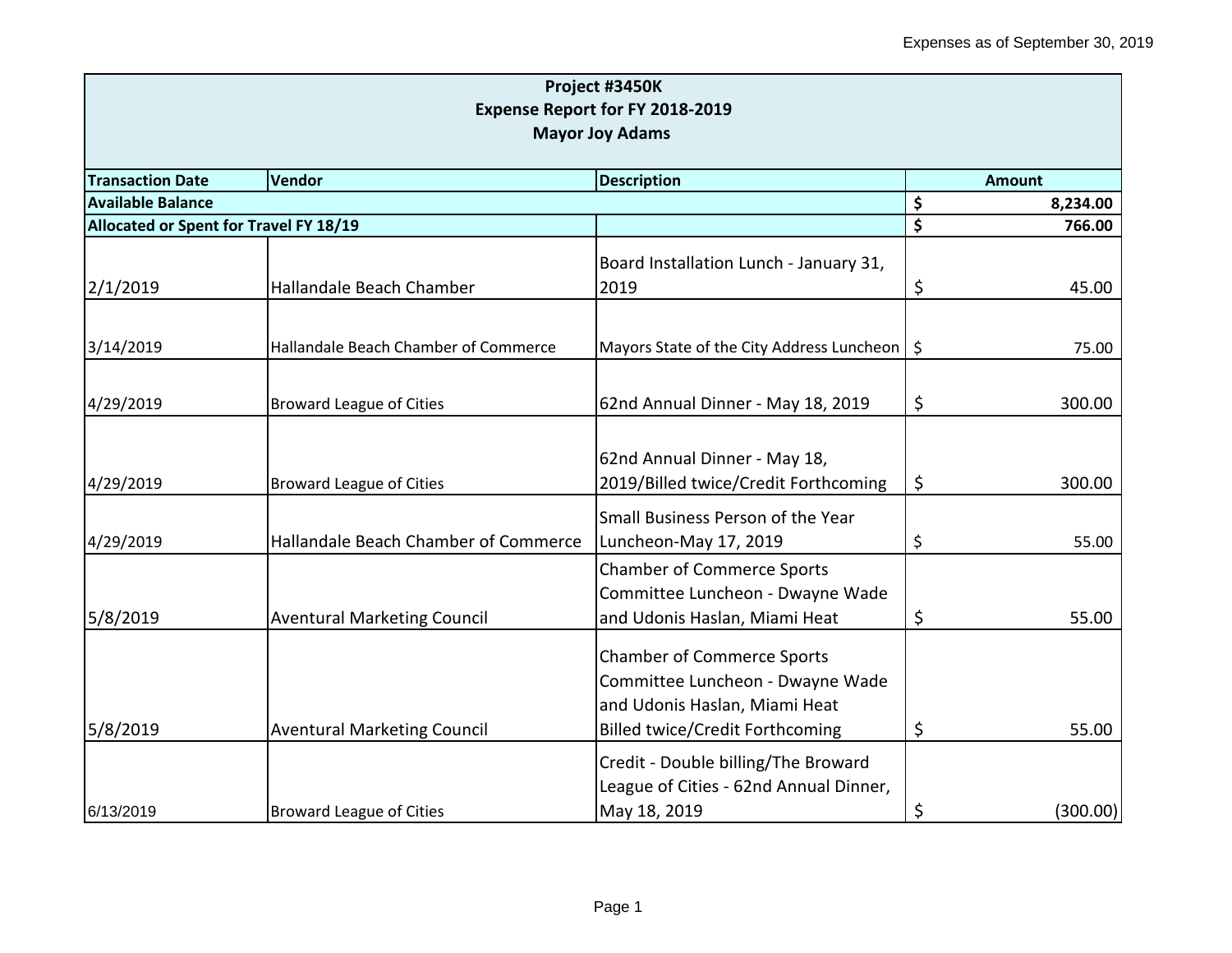|                                        |                                      | Project #3450K                                 |    |               |  |  |
|----------------------------------------|--------------------------------------|------------------------------------------------|----|---------------|--|--|
| Expense Report for FY 2018-2019        |                                      |                                                |    |               |  |  |
| <b>Mayor Joy Adams</b>                 |                                      |                                                |    |               |  |  |
| <b>Transaction Date</b>                | <b>Vendor</b>                        | <b>Description</b>                             |    | <b>Amount</b> |  |  |
| <b>Available Balance</b>               |                                      |                                                | \$ | 8,234.00      |  |  |
| Allocated or Spent for Travel FY 18/19 |                                      |                                                | \$ | 766.00        |  |  |
|                                        |                                      | Board Installation Lunch - January 31,         |    |               |  |  |
| 2/1/2019                               | Hallandale Beach Chamber             | 2019                                           | \$ | 45.00         |  |  |
|                                        |                                      |                                                |    |               |  |  |
| 3/14/2019                              | Hallandale Beach Chamber of Commerce | Mayors State of the City Address Luncheon   \$ |    | 75.00         |  |  |
|                                        |                                      |                                                |    |               |  |  |
| 4/29/2019                              | <b>Broward League of Cities</b>      | 62nd Annual Dinner - May 18, 2019              | \$ | 300.00        |  |  |
|                                        |                                      |                                                |    |               |  |  |
|                                        |                                      | 62nd Annual Dinner - May 18,                   |    |               |  |  |
| 4/29/2019                              | <b>Broward League of Cities</b>      | 2019/Billed twice/Credit Forthcoming           | \$ | 300.00        |  |  |
|                                        |                                      | Small Business Person of the Year              |    |               |  |  |
| 4/29/2019                              | Hallandale Beach Chamber of Commerce | Luncheon-May 17, 2019                          | \$ | 55.00         |  |  |
|                                        |                                      | <b>Chamber of Commerce Sports</b>              |    |               |  |  |
|                                        |                                      | Committee Luncheon - Dwayne Wade               |    |               |  |  |
| 5/8/2019                               | <b>Aventural Marketing Council</b>   | and Udonis Haslan, Miami Heat                  | \$ | 55.00         |  |  |
|                                        |                                      | <b>Chamber of Commerce Sports</b>              |    |               |  |  |
|                                        |                                      | Committee Luncheon - Dwayne Wade               |    |               |  |  |
|                                        |                                      | and Udonis Haslan, Miami Heat                  |    |               |  |  |
| 5/8/2019                               | <b>Aventural Marketing Council</b>   | <b>Billed twice/Credit Forthcoming</b>         | \$ | 55.00         |  |  |
|                                        |                                      | Credit - Double billing/The Broward            |    |               |  |  |
|                                        |                                      | League of Cities - 62nd Annual Dinner,         |    |               |  |  |
| 6/13/2019                              | <b>Broward League of Cities</b>      | May 18, 2019                                   | \$ | (300.00)      |  |  |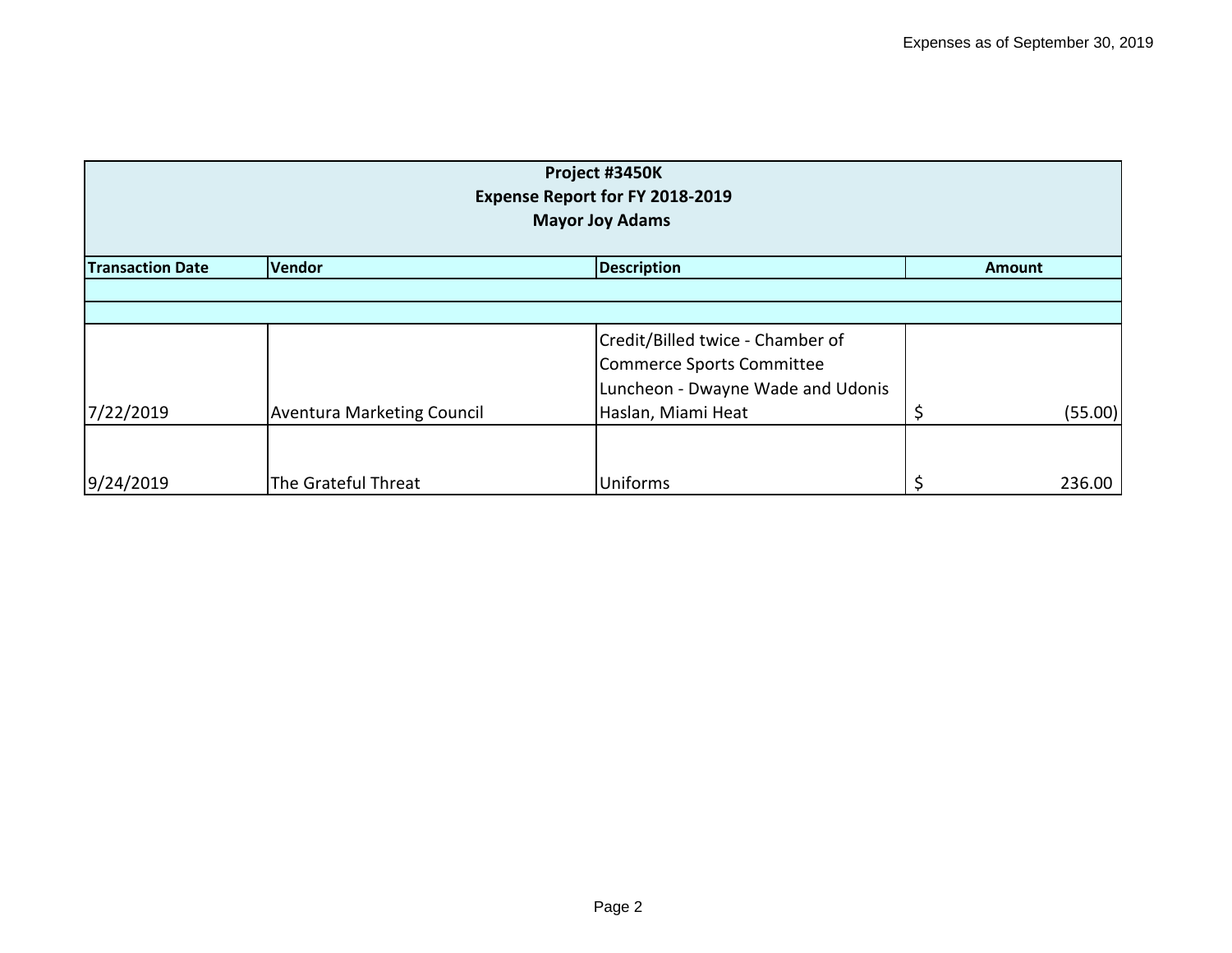| Project #3450K<br>Expense Report for FY 2018-2019<br><b>Mayor Joy Adams</b> |                                   |                                                                                                    |  |         |  |  |
|-----------------------------------------------------------------------------|-----------------------------------|----------------------------------------------------------------------------------------------------|--|---------|--|--|
| <b>Transaction Date</b><br>Vendor<br><b>Description</b><br>Amount           |                                   |                                                                                                    |  |         |  |  |
|                                                                             |                                   |                                                                                                    |  |         |  |  |
|                                                                             |                                   | Credit/Billed twice - Chamber of<br>Commerce Sports Committee<br>Luncheon - Dwayne Wade and Udonis |  |         |  |  |
| 7/22/2019                                                                   | <b>Aventura Marketing Council</b> | Haslan, Miami Heat                                                                                 |  | (55.00) |  |  |
| 9/24/2019                                                                   | The Grateful Threat               | Uniforms                                                                                           |  | 236.00  |  |  |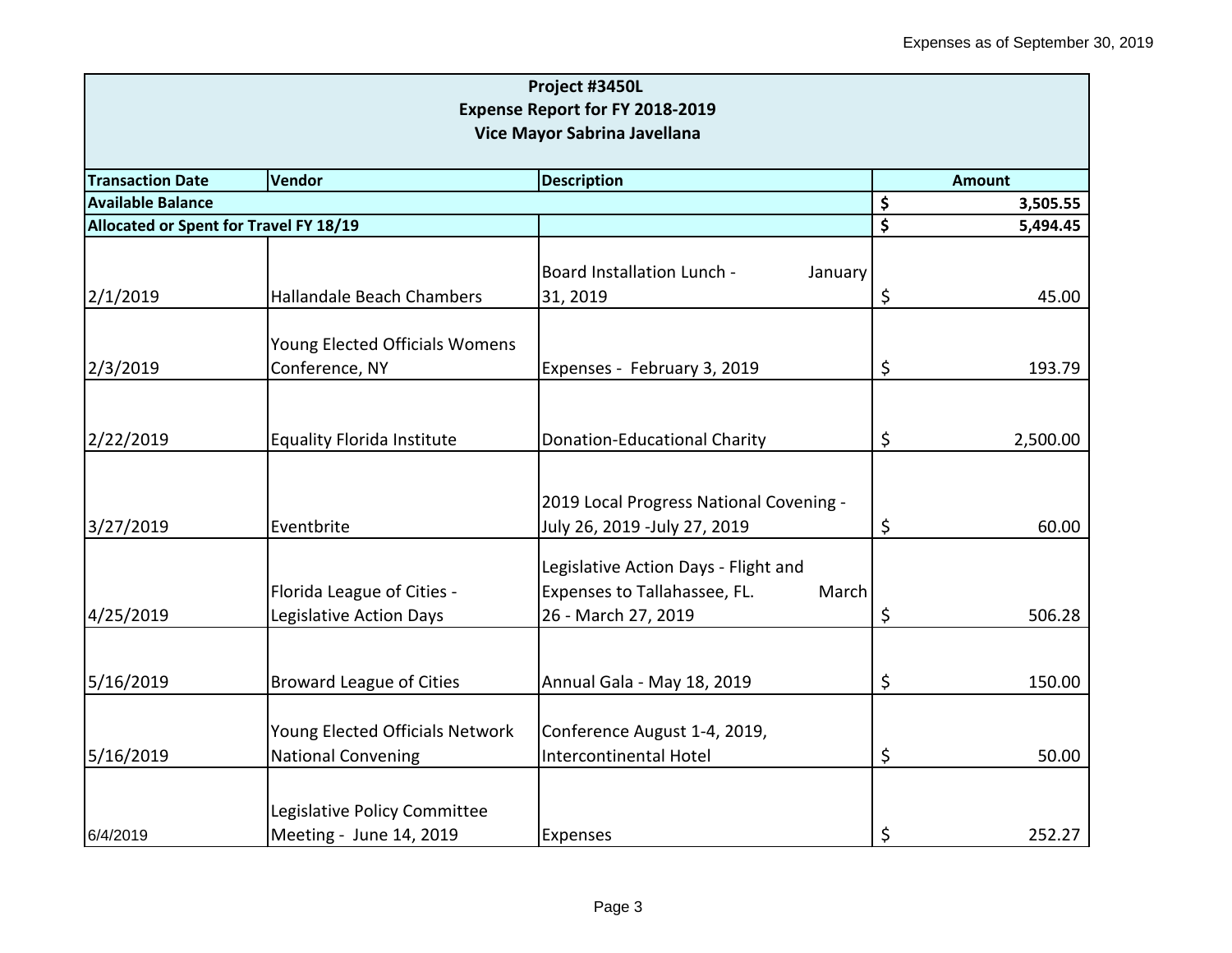| Project #3450L<br><b>Expense Report for FY 2018-2019</b><br>Vice Mayor Sabrina Javellana |                                                  |                                         |    |          |  |                                                                          |
|------------------------------------------------------------------------------------------|--------------------------------------------------|-----------------------------------------|----|----------|--|--------------------------------------------------------------------------|
|                                                                                          |                                                  |                                         |    |          |  | <b>Transaction Date</b><br>Vendor<br><b>Description</b><br><b>Amount</b> |
| <b>Available Balance</b>                                                                 | \$                                               | 3,505.55                                |    |          |  |                                                                          |
| Allocated or Spent for Travel FY 18/19                                                   |                                                  |                                         | \$ | 5,494.45 |  |                                                                          |
|                                                                                          |                                                  | Board Installation Lunch -<br>January   |    |          |  |                                                                          |
| 2/1/2019                                                                                 | Hallandale Beach Chambers                        | 31, 2019                                | \$ | 45.00    |  |                                                                          |
| 2/3/2019                                                                                 | Young Elected Officials Womens<br>Conference, NY | Expenses - February 3, 2019             | \$ | 193.79   |  |                                                                          |
|                                                                                          |                                                  |                                         |    |          |  |                                                                          |
|                                                                                          |                                                  |                                         |    |          |  |                                                                          |
| 2/22/2019                                                                                | <b>Equality Florida Institute</b>                | Donation-Educational Charity            | \$ | 2,500.00 |  |                                                                          |
|                                                                                          |                                                  |                                         |    |          |  |                                                                          |
|                                                                                          |                                                  | 2019 Local Progress National Covening - |    |          |  |                                                                          |
| 3/27/2019                                                                                | Eventbrite                                       | July 26, 2019 -July 27, 2019            | \$ | 60.00    |  |                                                                          |
|                                                                                          |                                                  | Legislative Action Days - Flight and    |    |          |  |                                                                          |
|                                                                                          | Florida League of Cities -                       | Expenses to Tallahassee, FL.<br>March   |    |          |  |                                                                          |
| 4/25/2019                                                                                | Legislative Action Days                          | 26 - March 27, 2019                     | \$ | 506.28   |  |                                                                          |
|                                                                                          |                                                  |                                         |    |          |  |                                                                          |
| 5/16/2019                                                                                | <b>Broward League of Cities</b>                  | Annual Gala - May 18, 2019              | \$ | 150.00   |  |                                                                          |
|                                                                                          |                                                  |                                         |    |          |  |                                                                          |
|                                                                                          | Young Elected Officials Network                  | Conference August 1-4, 2019,            |    |          |  |                                                                          |
| 5/16/2019                                                                                | <b>National Convening</b>                        | Intercontinental Hotel                  | \$ | 50.00    |  |                                                                          |
|                                                                                          |                                                  |                                         |    |          |  |                                                                          |
|                                                                                          | Legislative Policy Committee                     |                                         |    |          |  |                                                                          |
| 6/4/2019                                                                                 | Meeting - June 14, 2019                          | <b>Expenses</b>                         | \$ | 252.27   |  |                                                                          |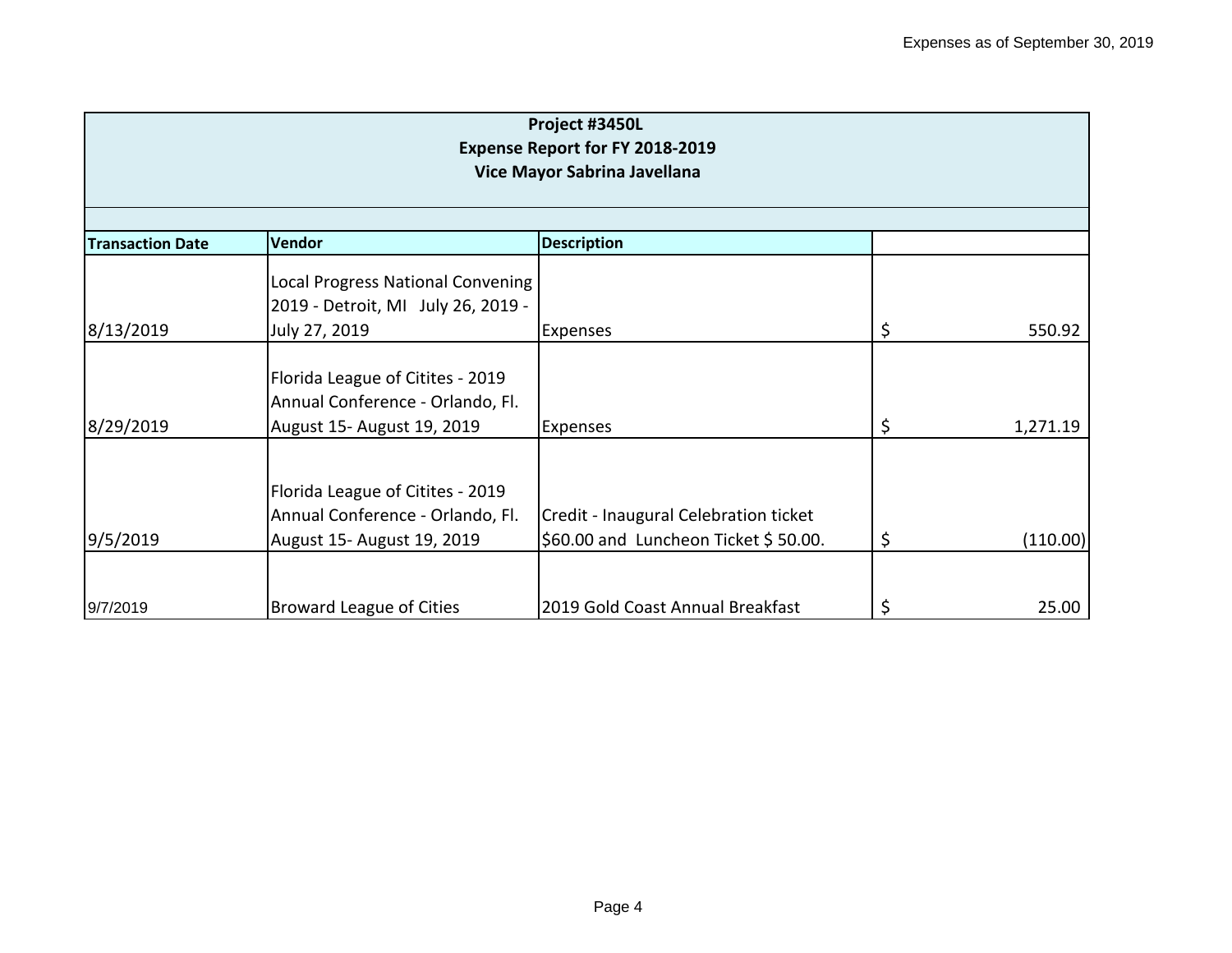| Project #3450L<br><b>Expense Report for FY 2018-2019</b><br>Vice Mayor Sabrina Javellana |                                                                                                    |                                                                               |    |          |  |
|------------------------------------------------------------------------------------------|----------------------------------------------------------------------------------------------------|-------------------------------------------------------------------------------|----|----------|--|
| <b>Description</b><br>Vendor<br><b>Transaction Date</b>                                  |                                                                                                    |                                                                               |    |          |  |
| 8/13/2019                                                                                | <b>Local Progress National Convening</b><br>2019 - Detroit, MI July 26, 2019 -<br>July 27, 2019    | <b>Expenses</b>                                                               | \$ | 550.92   |  |
| 8/29/2019                                                                                | Florida League of Citites - 2019<br>Annual Conference - Orlando, Fl.<br>August 15- August 19, 2019 | Expenses                                                                      | \$ | 1,271.19 |  |
| 9/5/2019                                                                                 | Florida League of Citites - 2019<br>Annual Conference - Orlando, Fl.<br>August 15- August 19, 2019 | Credit - Inaugural Celebration ticket<br>\$60.00 and Luncheon Ticket \$50.00. | \$ | (110.00) |  |
| 9/7/2019                                                                                 | <b>Broward League of Cities</b>                                                                    | 2019 Gold Coast Annual Breakfast                                              |    | 25.00    |  |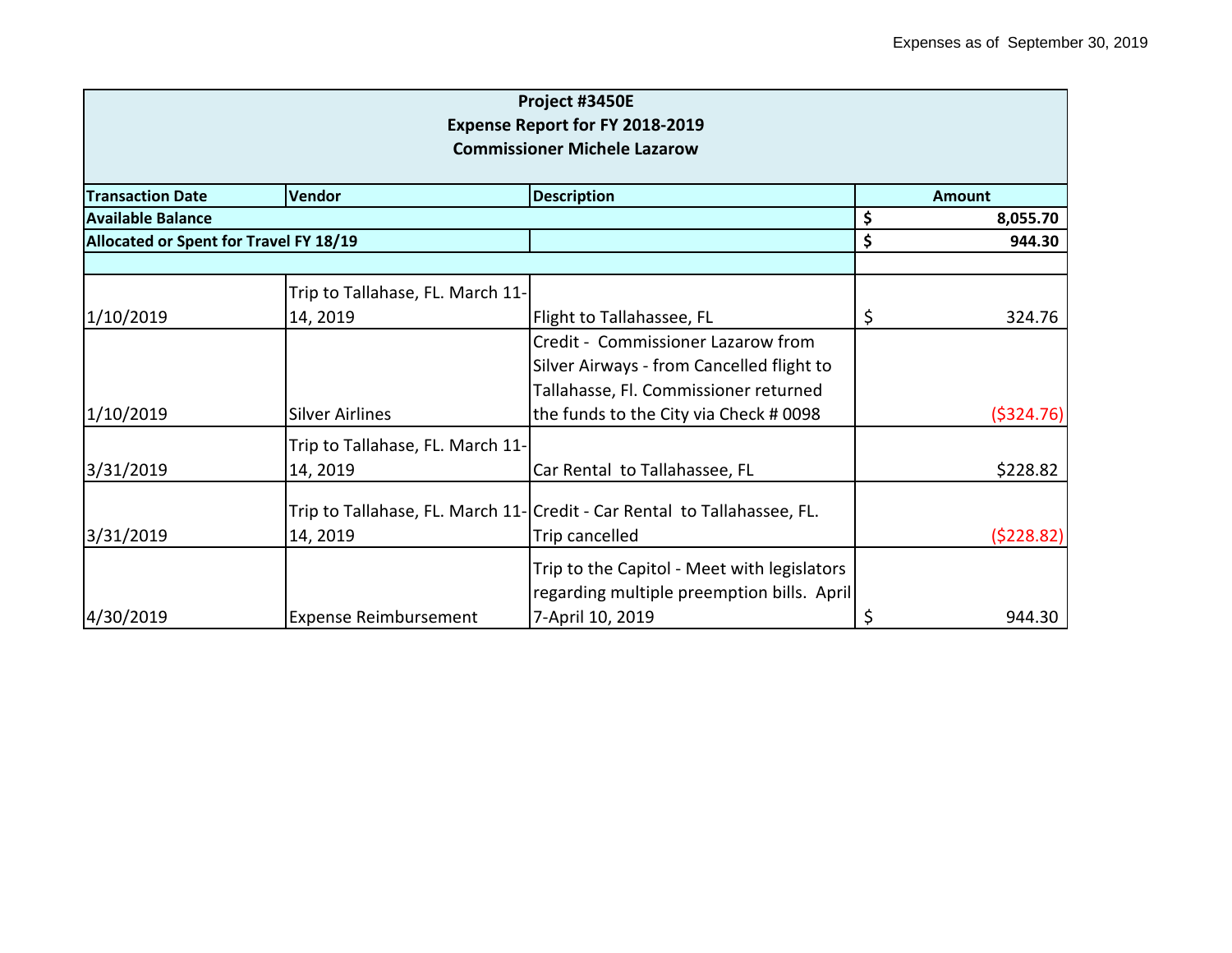| Project #3450E<br><b>Expense Report for FY 2018-2019</b><br><b>Commissioner Michele Lazarow</b> |                                        |                                                                          |    |           |  |
|-------------------------------------------------------------------------------------------------|----------------------------------------|--------------------------------------------------------------------------|----|-----------|--|
|                                                                                                 |                                        |                                                                          |    |           |  |
| <b>Transaction Date</b>                                                                         | Vendor<br><b>Description</b>           |                                                                          |    |           |  |
| Available Balance                                                                               |                                        |                                                                          | \$ | 8,055.70  |  |
|                                                                                                 | Allocated or Spent for Travel FY 18/19 |                                                                          |    | 944.30    |  |
|                                                                                                 | Trip to Tallahase, FL. March 11-       |                                                                          |    |           |  |
| 1/10/2019                                                                                       | 14, 2019                               | Flight to Tallahassee, FL                                                | \$ | 324.76    |  |
|                                                                                                 |                                        | Credit - Commissioner Lazarow from                                       |    |           |  |
|                                                                                                 |                                        | Silver Airways - from Cancelled flight to                                |    |           |  |
|                                                                                                 |                                        | Tallahasse, Fl. Commissioner returned                                    |    |           |  |
| 1/10/2019                                                                                       | <b>Silver Airlines</b>                 | the funds to the City via Check # 0098                                   |    | (5324.76) |  |
|                                                                                                 | Trip to Tallahase, FL. March 11-       |                                                                          |    |           |  |
| 3/31/2019                                                                                       | 14, 2019                               | Car Rental to Tallahassee, FL                                            |    | \$228.82  |  |
|                                                                                                 |                                        | Trip to Tallahase, FL. March 11- Credit - Car Rental to Tallahassee, FL. |    |           |  |
| 3/31/2019                                                                                       | 14, 2019                               | Trip cancelled                                                           |    | (5228.82) |  |
|                                                                                                 |                                        | Trip to the Capitol - Meet with legislators                              |    |           |  |
|                                                                                                 |                                        | regarding multiple preemption bills. April                               |    |           |  |
| 4/30/2019                                                                                       | <b>Expense Reimbursement</b>           | 7-April 10, 2019                                                         | \$ | 944.30    |  |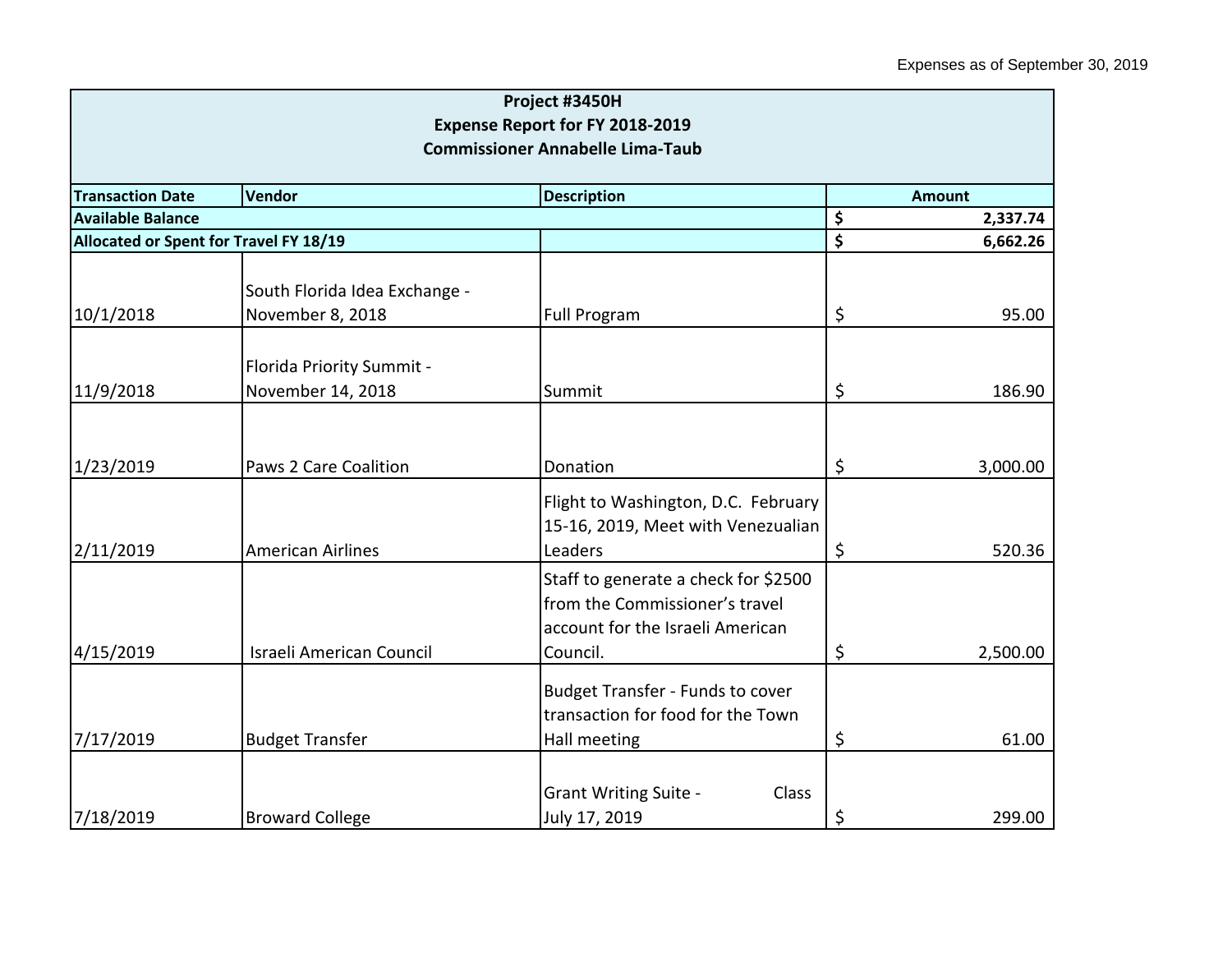| Project #3450H                                |                                 |                                                                                                            |    |               |  |
|-----------------------------------------------|---------------------------------|------------------------------------------------------------------------------------------------------------|----|---------------|--|
|                                               |                                 | <b>Expense Report for FY 2018-2019</b>                                                                     |    |               |  |
| <b>Commissioner Annabelle Lima-Taub</b>       |                                 |                                                                                                            |    |               |  |
| <b>Transaction Date</b>                       | Vendor                          | <b>Description</b>                                                                                         |    | <b>Amount</b> |  |
| <b>Available Balance</b>                      |                                 |                                                                                                            | \$ | 2,337.74      |  |
| <b>Allocated or Spent for Travel FY 18/19</b> |                                 |                                                                                                            | \$ | 6,662.26      |  |
|                                               | South Florida Idea Exchange -   |                                                                                                            |    |               |  |
| 10/1/2018                                     | November 8, 2018                | <b>Full Program</b>                                                                                        | \$ | 95.00         |  |
|                                               | Florida Priority Summit -       |                                                                                                            |    |               |  |
| 11/9/2018                                     | November 14, 2018               | Summit                                                                                                     | \$ | 186.90        |  |
|                                               |                                 |                                                                                                            |    |               |  |
| 1/23/2019                                     | Paws 2 Care Coalition           | Donation                                                                                                   | \$ | 3,000.00      |  |
|                                               |                                 | Flight to Washington, D.C. February<br>15-16, 2019, Meet with Venezualian                                  |    |               |  |
| 2/11/2019                                     | <b>American Airlines</b>        | Leaders                                                                                                    | \$ | 520.36        |  |
|                                               |                                 | Staff to generate a check for \$2500<br>from the Commissioner's travel<br>account for the Israeli American |    |               |  |
| 4/15/2019                                     | <b>Israeli American Council</b> | Council.                                                                                                   | \$ | 2,500.00      |  |
|                                               |                                 | <b>Budget Transfer - Funds to cover</b><br>transaction for food for the Town                               |    |               |  |
| 7/17/2019                                     | <b>Budget Transfer</b>          | Hall meeting                                                                                               | \$ | 61.00         |  |
| 7/18/2019                                     | <b>Broward College</b>          | <b>Grant Writing Suite -</b><br>Class<br>July 17, 2019                                                     | \$ | 299.00        |  |